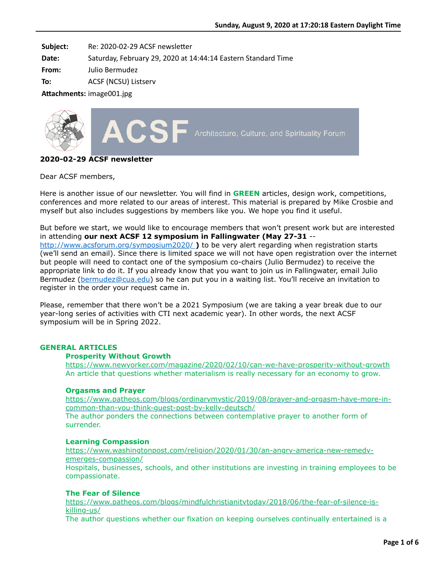**Subject:** Re: 2020-02-29 ACSF newsletter

**Date:** Saturday, February 29, 2020 at 14:44:14 Eastern Standard Time

**From:** Julio Bermudez

**To:** ACSF (NCSU) Listserv

Attachments: image001.jpg



# **2020-02-29 ACSF newsletter**

Dear ACSF members,

Here is another issue of our newsletter. You will find in **GREEN** articles, design work, competitions, conferences and more related to our areas of interest. This material is prepared by Mike Crosbie and myself but also includes suggestions by members like you. We hope you find it useful.

But before we start, we would like to encourage members that won't present work but are interested in attending **our next ACSF 12 symposium in Fallingwater (May 27-31** - <http://www.acsforum.org/symposium2020/> **)** to be very alert regarding when registration starts (we'll send an email). Since there is limited space we will not have open registration over the internet but people will need to contact one of the symposium co-chairs (Julio Bermudez) to receive the appropriate link to do it. If you already know that you want to join us in Fallingwater, email Julio Bermudez [\(bermudez@cua.edu](mailto:bermudez@cua.edu)) so he can put you in a waiting list. You'll receive an invitation to register in the order your request came in.

Please, remember that there won't be a 2021 Symposium (we are taking a year break due to our year-long series of activities with CTI next academic year). In other words, the next ACSF symposium will be in Spring 2022.

# **GENERAL ARTICLES**

### **Prosperity Without Growth**

<https://www.newyorker.com/magazine/2020/02/10/can-we-have-prosperity-without-growth> An article that questions whether materialism is really necessary for an economy to grow.

### **Orgasms and Prayer**

[https://www.patheos.com/blogs/ordinarymystic/2019/08/prayer-and-orgasm-have-more-in](https://www.patheos.com/blogs/ordinarymystic/2019/08/prayer-and-orgasm-have-more-in-common-than-you-think-guest-post-by-kelly-deutsch/)common-than-you-think-guest-post-by-kelly-deutsch/

The author ponders the connections between contemplative prayer to another form of surrender.

### **Learning Compassion**

[https://www.washingtonpost.com/religion/2020/01/30/an-angry-america-new-remedy](https://www.washingtonpost.com/religion/2020/01/30/an-angry-america-new-remedy-emerges-compassion/)emerges-compassion/ Hospitals, businesses, schools, and other institutions are investing in training employees to be compassionate.

### **The Fear of Silence**

[https://www.patheos.com/blogs/mindfulchristianitytoday/2018/06/the-fear-of-silence-is](https://www.patheos.com/blogs/mindfulchristianitytoday/2018/06/the-fear-of-silence-is-killing-us/)killing-us/

The author questions whether our fixation on keeping ourselves continually entertained is a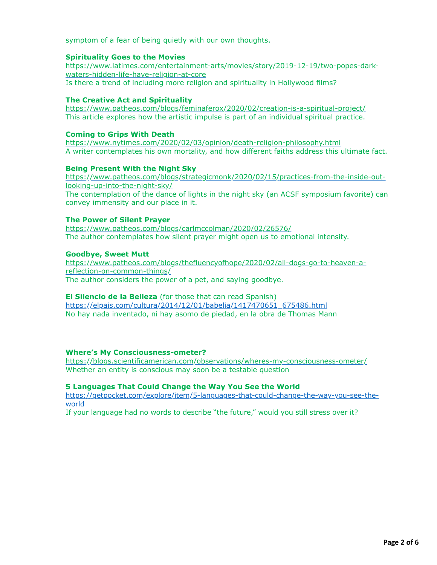symptom of a fear of being quietly with our own thoughts.

# **Spirituality Goes to the Movies**

[https://www.latimes.com/entertainment-arts/movies/story/2019-12-19/two-popes-dark](https://www.latimes.com/entertainment-arts/movies/story/2019-12-19/two-popes-dark-waters-hidden-life-have-religion-at-core)waters-hidden-life-have-religion-at-core Is there a trend of including more religion and spirituality in Hollywood films?

# **The Creative Act and Spirituality**

<https://www.patheos.com/blogs/feminaferox/2020/02/creation-is-a-spiritual-project/> This article explores how the artistic impulse is part of an individual spiritual practice.

### **Coming to Grips With Death**

[https://www.nytimes.com/2020/02/03/opinion/death-religion-philosophy.html](https://www.nytimes.com/2020/02/03/opinion/death-religion-philosophy.html?auth=login-email&login=email) A writer contemplates his own mortality, and how different faiths address this ultimate fact.

## **Being Present With the Night Sky**

[https://www.patheos.com/blogs/strategicmonk/2020/02/15/practices-from-the-inside-out](https://www.patheos.com/blogs/strategicmonk/2020/02/15/practices-from-the-inside-out-looking-up-into-the-night-sky/)looking-up-into-the-night-sky/

The contemplation of the dance of lights in the night sky (an ACSF symposium favorite) can convey immensity and our place in it.

### **The Power of Silent Prayer**

<https://www.patheos.com/blogs/carlmccolman/2020/02/26576/> The author contemplates how silent prayer might open us to emotional intensity.

### **Goodbye, Sweet Mutt**

[https://www.patheos.com/blogs/thefluencyofhope/2020/02/all-dogs-go-to-heaven-a](https://www.patheos.com/blogs/thefluencyofhope/2020/02/all-dogs-go-to-heaven-a-reflection-on-common-things/)reflection-on-common-things/ The author considers the power of a pet, and saying goodbye.

### **El Silencio de la Belleza** (for those that can read Spanish)

[https://elpais.com/cultura/2014/12/01/babelia/1417470651\\_675486.html](https://elpais.com/cultura/2014/12/01/babelia/1417470651_675486.html) No hay nada inventado, ni hay asomo de piedad, en la obra de Thomas Mann

### **Where's My Consciousness-ometer?**

<https://blogs.scientificamerican.com/observations/wheres-my-consciousness-ometer/> Whether an entity is conscious may soon be a testable question

### **5 Languages That Could Change the Way You See the World**

[https://getpocket.com/explore/item/5-languages-that-could-change-the-way-you-see-the](https://getpocket.com/explore/item/5-languages-that-could-change-the-way-you-see-the-world)world

If your language had no words to describe "the future," would you still stress over it?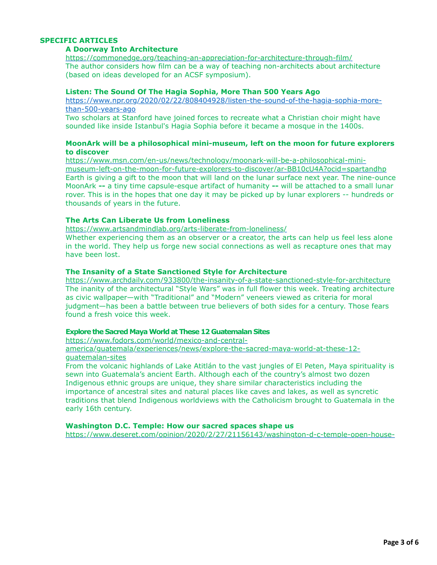# **SPECIFIC ARTICLES**

# **A Doorway Into Architecture**

<https://commonedge.org/teaching-an-appreciation-for-architecture-through-film/> The author considers how film can be a way of teaching non-architects about architecture (based on ideas developed for an ACSF symposium).

### **Listen: The Sound Of The Hagia Sophia, More Than 500 Years Ago**

[https://www.npr.org/2020/02/22/808404928/listen-the-sound-of-the-hagia-sophia-more](https://www.npr.org/2020/02/22/808404928/listen-the-sound-of-the-hagia-sophia-more-than-500-years-ago)than-500-years-ago

Two scholars at Stanford have joined forces to recreate what a Christian choir might have sounded like inside Istanbul's Hagia Sophia before it became a mosque in the 1400s.

### **MoonArk will be a philosophical mini-museum, left on the moon for future explorers to discover**

https://www.msn.com/en-us/news/technology/moonark-will-be-a-philosophical-mini[museum-left-on-the-moon-for-future-explorers-to-discover/ar-BB10cU4A?ocid=spartandhp](https://www.msn.com/en-us/news/technology/moonark-will-be-a-philosophical-mini-museum-left-on-the-moon-for-future-explorers-to-discover/ar-BB10cU4A?ocid=spartandhp) Earth is giving a gift to the moon that will land on the lunar surface next year. The nine-ounce MoonArk **--** a tiny time capsule-esque artifact of humanity **--** will be attached to a small lunar rover. This is in the hopes that one day it may be picked up by lunar explorers -- hundreds or thousands of years in the future.

### **The Arts Can Liberate Us from Loneliness**

<https://www.artsandmindlab.org/arts-liberate-from-loneliness/>

Whether experiencing them as an observer or a creator, the arts can help us feel less alone in the world. They help us forge new social connections as well as recapture ones that may have been lost.

# **The Insanity of a State Sanctioned Style for Architecture**

<https://www.archdaily.com/933800/the-insanity-of-a-state-sanctioned-style-for-architecture> The inanity of the architectural "Style Wars" was in full flower this week. Treating architecture as civic wallpaper—with "Traditional" and "Modern" veneers viewed as criteria for moral judgment—has been a battle between true believers of both sides for a century. Those fears found a fresh voice this week.

#### **Explore the Sacred Maya World at These 12 Guatemalan Sites**

https://www.fodors.com/world/mexico-and-central-

[america/guatemala/experiences/news/explore-the-sacred-maya-world-at-these-12](https://www.fodors.com/world/mexico-and-central-america/guatemala/experiences/news/explore-the-sacred-maya-world-at-these-12-guatemalan-sites) guatemalan-sites

From the volcanic highlands of Lake Atitlán to the vast jungles of El Peten, Maya spirituality is sewn into Guatemala's ancient Earth. Although each of the country's almost two dozen Indigenous ethnic groups are unique, they share similar characteristics including the importance of ancestral sites and natural places like caves and lakes, as well as syncretic traditions that blend Indigenous worldviews with the Catholicism brought to Guatemala in the early 16th century.

### **Washington D.C. Temple: How our sacred spaces shape us**

[https://www.deseret.com/opinion/2020/2/27/21156143/washington-d-c-temple-open-house-](https://www.deseret.com/opinion/2020/2/27/21156143/washington-d-c-temple-open-house-sacred-spaces-churchill-kelsey-dallas)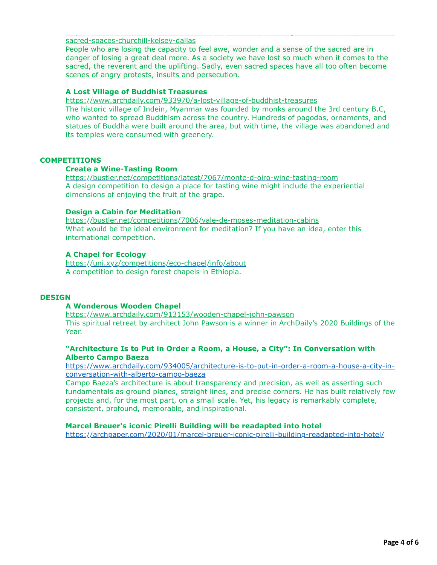[sacred-spaces-churchill-kelsey-dallas](https://www.deseret.com/opinion/2020/2/27/21156143/washington-d-c-temple-open-house-sacred-spaces-churchill-kelsey-dallas)

People who are losing the capacity to feel awe, wonder and a sense of the sacred are in danger of losing a great deal more. As a society we have lost so much when it comes to the sacred, the reverent and the uplifting. Sadly, even sacred spaces have all too often become scenes of angry protests, insults and persecution.

https://www.deseret.com/opinion/2020/2/27/21156143/washington-d-c-temple-open-house-

# **A Lost Village of Buddhist Treasures**

<https://www.archdaily.com/933970/a-lost-village-of-buddhist-treasures>

The historic village of Indein, Myanmar was founded by monks around the 3rd century B.C, who wanted to spread Buddhism across the country. Hundreds of pagodas, ornaments, and statues of Buddha were built around the area, but with time, the village was abandoned and its temples were consumed with greenery.

# **COMPETITIONS**

### **Create a Wine-Tasting Room**

<https://bustler.net/competitions/latest/7067/monte-d-oiro-wine-tasting-room> A design competition to design a place for tasting wine might include the experiential dimensions of enjoying the fruit of the grape.

# **Design a Cabin for Meditation**

<https://bustler.net/competitions/7006/vale-de-moses-meditation-cabins> What would be the ideal environment for meditation? If you have an idea, enter this international competition.

# **A Chapel for Ecology**

<https://uni.xyz/competitions/eco-chapel/info/about> A competition to design forest chapels in Ethiopia.

### **DESIGN**

## **A Wonderous Wooden Chapel**

<https://www.archdaily.com/913153/wooden-chapel-john-pawson> This spiritual retreat by architect John Pawson is a winner in ArchDaily's 2020 Buildings of the Year.

### **"Architecture Is to Put in Order a Room, a House, a City": In Conversation with Alberto Campo Baeza**

[https://www.archdaily.com/934005/architecture-is-to-put-in-order-a-room-a-house-a-city-in](https://www.archdaily.com/934005/architecture-is-to-put-in-order-a-room-a-house-a-city-in-conversation-with-alberto-campo-baeza)conversation-with-alberto-campo-baeza

Campo Baeza's architecture is about transparency and precision, as well as asserting such fundamentals as ground planes, straight lines, and precise corners. He has built relatively few projects and, for the most part, on a small scale. Yet, his legacy is remarkably complete, consistent, profound, memorable, and inspirational.

### **Marcel Breuer's iconic Pirelli Building will be readapted into hotel**

<https://archpaper.com/2020/01/marcel-breuer-iconic-pirelli-building-readapted-into-hotel/>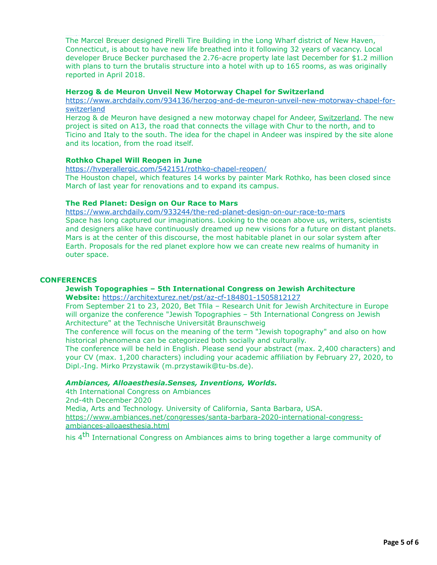The Marcel Breuer designed Pirelli Tire Building in the Long Wharf district of New Haven, Connecticut, is about to have new life breathed into it following 32 years of vacancy. Local developer Bruce Becker purchased the 2.76-acre property late last December for \$1.2 million with plans to turn the brutalis structure into a hotel with up to 165 rooms, as was originally reported in April 2018.

<https://archpaper.com/2020/01/marcel-breuer-iconic-pirelli-building-readapted-into-hotel/>

### **Herzog & de Meuron Unveil New Motorway Chapel for Switzerland**

[https://www.archdaily.com/934136/herzog-and-de-meuron-unveil-new-motorway-chapel-for](https://www.archdaily.com/934136/herzog-and-de-meuron-unveil-new-motorway-chapel-for-switzerland)switzerland

Herzog & de Meuron have designed a new motorway chapel for Andeer, [Switzerland.](https://www.archdaily.com/country/switzerland) The new project is sited on A13, the road that connects the village with Chur to the north, and to Ticino and Italy to the south. The idea for the chapel in Andeer was inspired by the site alone and its location, from the road itself.

# **Rothko Chapel Will Reopen in June**

<https://hyperallergic.com/542151/rothko-chapel-reopen/> The Houston chapel, which features 14 works by painter Mark Rothko, has been closed since March of last year for renovations and to expand its campus.

### **The Red Planet: Design on Our Race to Mars**

<https://www.archdaily.com/933244/the-red-planet-design-on-our-race-to-mars> Space has long captured our imaginations. Looking to the ocean above us, writers, scientists and designers alike have continuously dreamed up new visions for a future on distant planets. Mars is at the center of this discourse, the most habitable planet in our solar system after Earth. Proposals for the red planet explore how we can create new realms of humanity in outer space.

### **CONFERENCES**

### **Jewish Topographies – 5th International Congress on Jewish Architecture**

**Website:** <https://architexturez.net/pst/az-cf-184801-1505812127>

From September 21 to 23, 2020, Bet Tfila – Research Unit for Jewish Architecture in Europe will organize the conference "Jewish Topographies – 5th International Congress on Jewish Architecture" at the Technische Universität Braunschweig

The conference will focus on the meaning of the term "Jewish topography" and also on how historical phenomena can be categorized both socially and culturally.

The conference will be held in English. Please send your abstract (max. 2,400 characters) and your CV (max. 1,200 characters) including your academic affiliation by February 27, 2020, to Dipl.-Ing. Mirko Przystawik (m.przystawik@tu-bs.de).

### *Ambiances, Alloaesthesia.Senses, Inventions, Worlds.*

4th International Congress on Ambiances 2nd-4th December 2020 Media, Arts and Technology. University of California, Santa Barbara, USA. [https://www.ambiances.net/congresses/santa-barbara-2020-international-congress](https://www.ambiances.net/congresses/santa-barbara-2020-international-congress-ambiances-alloaesthesia.html)ambiances-alloaesthesia.html

his 4<sup>th</sup> International Congress on Ambiances aims to bring together a large community of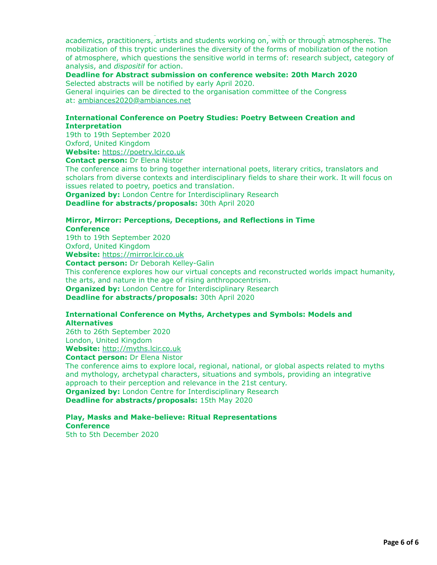academics, practitioners, artists and students working on, with or through atmospheres. The mobilization of this tryptic underlines the diversity of the forms of mobilization of the notion of atmosphere, which questions the sensitive world in terms of: research subject, category of analysis, and *dispositif* for action.

his 4th International Congress on Ambiances aims to bring together a large community of

**Deadline for Abstract submission on conference website: 20th March 2020** Selected abstracts will be notified by early April 2020.

General inquiries can be directed to the organisation committee of the Congress at: [ambiances2020@ambiances.net](mailto:ambiances2020@ambiances.net)

# **International Conference on Poetry Studies: Poetry Between Creation and Interpretation**

19th to 19th September 2020 Oxford, United Kingdom **Website:** [https://poetry.lcir.co.uk](https://poetry.lcir.co.uk/)

**Contact person:** Dr Elena Nistor

The conference aims to bring together international poets, literary critics, translators and scholars from diverse contexts and interdisciplinary fields to share their work. It will focus on issues related to poetry, poetics and translation.

**Organized by: London Centre for Interdisciplinary Research Deadline for abstracts/proposals:** 30th April 2020

### **Mirror, Mirror: Perceptions, Deceptions, and Reflections in Time Conference**

19th to 19th September 2020 Oxford, United Kingdom

**Website:** [https://mirror.lcir.co.uk](https://mirror.lcir.co.uk/)

**Contact person:** Dr Deborah Kelley-Galin

This conference explores how our virtual concepts and reconstructed worlds impact humanity, the arts, and nature in the age of rising anthropocentrism. **Organized by: London Centre for Interdisciplinary Research Deadline for abstracts/proposals:** 30th April 2020

# **International Conference on Myths, Archetypes and Symbols: Models and Alternatives**

26th to 26th September 2020 London, United Kingdom

**Website:** [http://myths.lcir.co.uk](http://myths.lcir.co.uk/)

**Contact person:** Dr Elena Nistor

The conference aims to explore local, regional, national, or global aspects related to myths and mythology, archetypal characters, situations and symbols, providing an integrative approach to their perception and relevance in the 21st century. **Organized by: London Centre for Interdisciplinary Research** 

**Deadline for abstracts/proposals:** 15th May 2020

# **Play, Masks and Make-believe: Ritual Representations Conference**

5th to 5th December 2020